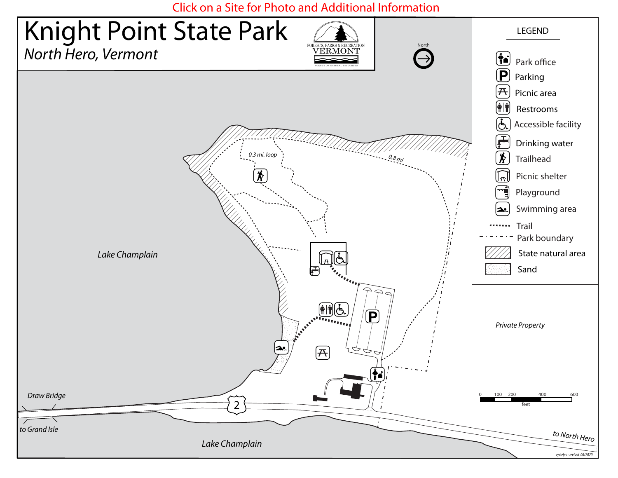